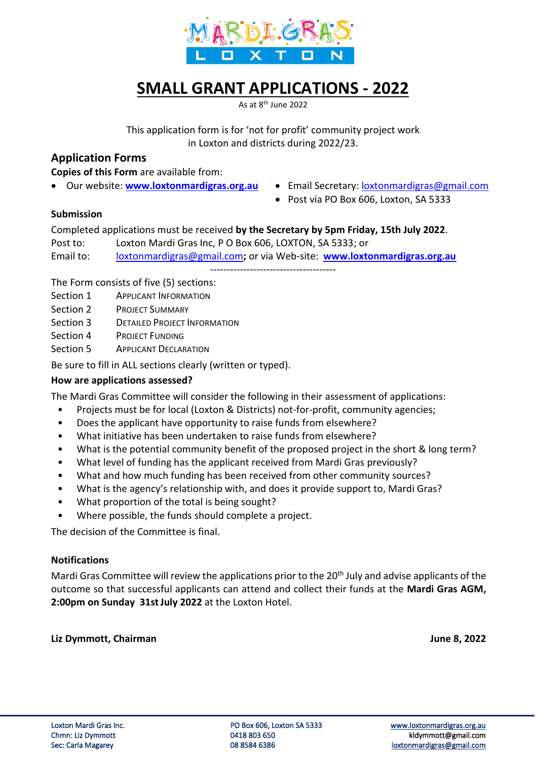

# **SMALL GRANT APPLICATIONS - 2022**

As at 8<sup>th</sup> June 2022

This application form is for 'not for profit' community project work in Loxton and districts during 2022/23.

# **Application Forms**

**Copies of this Form** are available from:

- 
- Our website: **[www.loxtonmardigras.org.au](http://www.loxtonmardigras.org.au/)** Email Secretary: [loxtonmardigras@gmail.com](mailto:loxtonmardigras@gmail.com)
	- Post via PO Box 606, Loxton, SA 5333

## **Submission**

Completed applications must be received **by the Secretary by 5pm Friday, 15th July 2022**.

Post to: Loxton Mardi Gras Inc, P O Box 606, LOXTON, SA 5333; or

Email to: [loxtonmardigras@gmail.com](mailto:loxtonmardigras@gmail.com)**;** or via Web-site: **[www.loxtonmardigras.org.au](http://www.loxtonmardigras.org.au/)**

--------------------------------------

The Form consists of five (5) sections:

- Section 1 APPLICANT INFORMATION
- Section 2 PROJECT SUMMARY
- Section 3 DETAILED PROJECT INFORMATION
- Section 4 PROJECT FUNDING
- Section 5 APPLICANT DECLARATION

Be sure to fill in ALL sections clearly (written or typed).

# **How are applications assessed?**

The Mardi Gras Committee will consider the following in their assessment of applications:

- Projects must be for local (Loxton & Districts) not-for-profit, community agencies;
- Does the applicant have opportunity to raise funds from elsewhere?
- What initiative has been undertaken to raise funds from elsewhere?
- What is the potential community benefit of the proposed project in the short & long term?
- What level of funding has the applicant received from Mardi Gras previously?
- What and how much funding has been received from other community sources?
- What is the agency's relationship with, and does it provide support to, Mardi Gras?
- What proportion of the total is being sought?
- Where possible, the funds should complete a project.

The decision of the Committee is final.

#### **Notifications**

Mardi Gras Committee will review the applications prior to the 20<sup>th</sup> July and advise applicants of the outcome so that successful applicants can attend and collect their funds at the **Mardi Gras AGM, 2:00pm on Sunday 31stJuly 2022** at the Loxton Hotel.

**Liz Dymmott, Chairman June 8, 2022**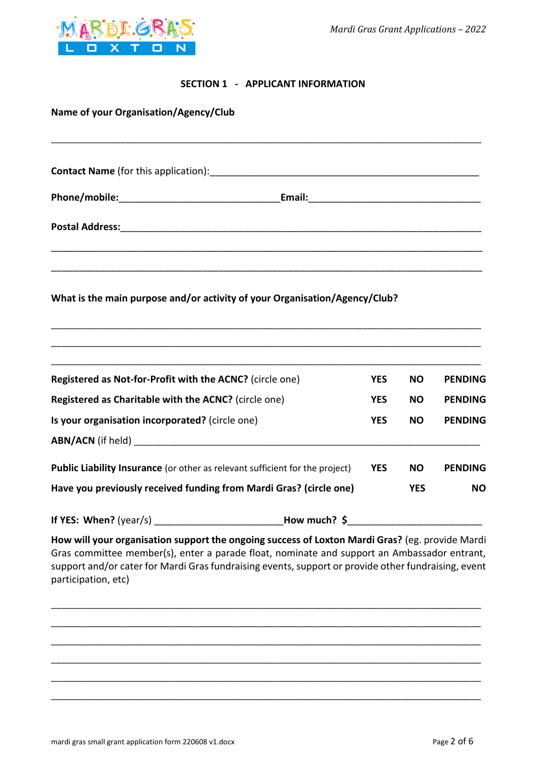

## **SECTION 1 - APPLICANT INFORMATION**

| Name of your Organisation/Agency/Club                                                         |            |            |                |
|-----------------------------------------------------------------------------------------------|------------|------------|----------------|
|                                                                                               |            |            |                |
| Contact Name (for this application): Contact Management Contact Name (for this application):  |            |            |                |
|                                                                                               |            |            |                |
|                                                                                               |            |            |                |
|                                                                                               |            |            |                |
| What is the main purpose and/or activity of your Organisation/Agency/Club?                    |            |            |                |
|                                                                                               |            |            |                |
|                                                                                               |            |            |                |
| Registered as Not-for-Profit with the ACNC? (circle one)                                      | <b>YES</b> | <b>NO</b>  | <b>PENDING</b> |
| Registered as Charitable with the ACNC? (circle one)                                          | <b>YES</b> | <b>NO</b>  | <b>PENDING</b> |
| Is your organisation incorporated? (circle one)                                               | <b>YES</b> | <b>NO</b>  | <b>PENDING</b> |
|                                                                                               |            |            |                |
| Public Liability Insurance (or other as relevant sufficient for the project)                  | <b>YES</b> | <b>NO</b>  | <b>PENDING</b> |
| Have you previously received funding from Mardi Gras? (circle one)                            |            | <b>YES</b> | <b>NO</b>      |
|                                                                                               |            |            |                |
| How will your organisation support the ongoing success of Loyton Mardi Gras Leg provide Mardi |            |            |                |

**How will your organisation support the ongoing success of Loxton Mardi Gras?** (eg. provide Mardi Gras committee member(s), enter a parade float, nominate and support an Ambassador entrant, support and/or cater for Mardi Gras fundraising events, support or provide other fundraising, event participation, etc)

\_\_\_\_\_\_\_\_\_\_\_\_\_\_\_\_\_\_\_\_\_\_\_\_\_\_\_\_\_\_\_\_\_\_\_\_\_\_\_\_\_\_\_\_\_\_\_\_\_\_\_\_\_\_\_\_\_\_\_\_\_\_\_\_\_\_\_\_\_\_\_\_\_\_\_\_\_\_\_\_\_\_\_\_\_\_\_

\_\_\_\_\_\_\_\_\_\_\_\_\_\_\_\_\_\_\_\_\_\_\_\_\_\_\_\_\_\_\_\_\_\_\_\_\_\_\_\_\_\_\_\_\_\_\_\_\_\_\_\_\_\_\_\_\_\_\_\_\_\_\_\_\_\_\_\_\_\_\_\_\_\_\_\_\_\_\_\_\_\_\_\_\_\_\_

\_\_\_\_\_\_\_\_\_\_\_\_\_\_\_\_\_\_\_\_\_\_\_\_\_\_\_\_\_\_\_\_\_\_\_\_\_\_\_\_\_\_\_\_\_\_\_\_\_\_\_\_\_\_\_\_\_\_\_\_\_\_\_\_\_\_\_\_\_\_\_\_\_\_\_\_\_\_\_\_\_\_\_\_\_\_\_

\_\_\_\_\_\_\_\_\_\_\_\_\_\_\_\_\_\_\_\_\_\_\_\_\_\_\_\_\_\_\_\_\_\_\_\_\_\_\_\_\_\_\_\_\_\_\_\_\_\_\_\_\_\_\_\_\_\_\_\_\_\_\_\_\_\_\_\_\_\_\_\_\_\_\_\_\_\_\_\_\_\_\_\_\_\_\_

\_\_\_\_\_\_\_\_\_\_\_\_\_\_\_\_\_\_\_\_\_\_\_\_\_\_\_\_\_\_\_\_\_\_\_\_\_\_\_\_\_\_\_\_\_\_\_\_\_\_\_\_\_\_\_\_\_\_\_\_\_\_\_\_\_\_\_\_\_\_\_\_\_\_\_\_\_\_\_\_\_\_\_\_\_\_\_

\_\_\_\_\_\_\_\_\_\_\_\_\_\_\_\_\_\_\_\_\_\_\_\_\_\_\_\_\_\_\_\_\_\_\_\_\_\_\_\_\_\_\_\_\_\_\_\_\_\_\_\_\_\_\_\_\_\_\_\_\_\_\_\_\_\_\_\_\_\_\_\_\_\_\_\_\_\_\_\_\_\_\_\_\_\_\_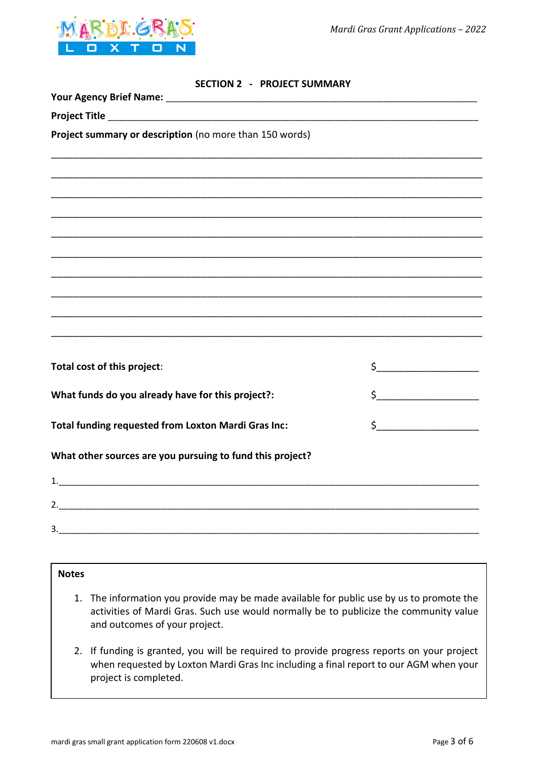



| <b>SECTION 2</b> | <b>PROJECT SUMMARY</b> |
|------------------|------------------------|
|------------------|------------------------|

| Project summary or description (no more than 150 words)                                                            |                                                                                                                                                                                                                                                                                                                                                     |
|--------------------------------------------------------------------------------------------------------------------|-----------------------------------------------------------------------------------------------------------------------------------------------------------------------------------------------------------------------------------------------------------------------------------------------------------------------------------------------------|
|                                                                                                                    |                                                                                                                                                                                                                                                                                                                                                     |
| <u> 1989 - Jan James James James James James James James James James James James James James James James James</u> |                                                                                                                                                                                                                                                                                                                                                     |
| ,我们就会在这里的人,我们就会在这里的人,我们就会在这里,我们就会在这里,我们就会在这里,我们就会在这里,我们就会在这里,我们就会在这里,我们就会在这里,我们就                                   |                                                                                                                                                                                                                                                                                                                                                     |
|                                                                                                                    |                                                                                                                                                                                                                                                                                                                                                     |
|                                                                                                                    |                                                                                                                                                                                                                                                                                                                                                     |
|                                                                                                                    |                                                                                                                                                                                                                                                                                                                                                     |
|                                                                                                                    |                                                                                                                                                                                                                                                                                                                                                     |
|                                                                                                                    |                                                                                                                                                                                                                                                                                                                                                     |
| Total cost of this project:                                                                                        | $\begin{picture}(20,10) \put(0,0){\line(1,0){10}} \put(15,0){\line(1,0){10}} \put(15,0){\line(1,0){10}} \put(15,0){\line(1,0){10}} \put(15,0){\line(1,0){10}} \put(15,0){\line(1,0){10}} \put(15,0){\line(1,0){10}} \put(15,0){\line(1,0){10}} \put(15,0){\line(1,0){10}} \put(15,0){\line(1,0){10}} \put(15,0){\line(1,0){10}} \put(15,0){\line(1$ |
|                                                                                                                    |                                                                                                                                                                                                                                                                                                                                                     |
| What funds do you already have for this project?:                                                                  |                                                                                                                                                                                                                                                                                                                                                     |
| Total funding requested from Loxton Mardi Gras Inc:                                                                | $\frac{1}{2}$                                                                                                                                                                                                                                                                                                                                       |
| What other sources are you pursuing to fund this project?                                                          |                                                                                                                                                                                                                                                                                                                                                     |
|                                                                                                                    |                                                                                                                                                                                                                                                                                                                                                     |
|                                                                                                                    |                                                                                                                                                                                                                                                                                                                                                     |
| 3.                                                                                                                 |                                                                                                                                                                                                                                                                                                                                                     |

# **Notes**

- 1. The information you provide may be made available for public use by us to promote the activities of Mardi Gras. Such use would normally be to publicize the community value and outcomes of your project.
- 2. If funding is granted, you will be required to provide progress reports on your project when requested by Loxton Mardi Gras Inc including a final report to our AGM when your project is completed.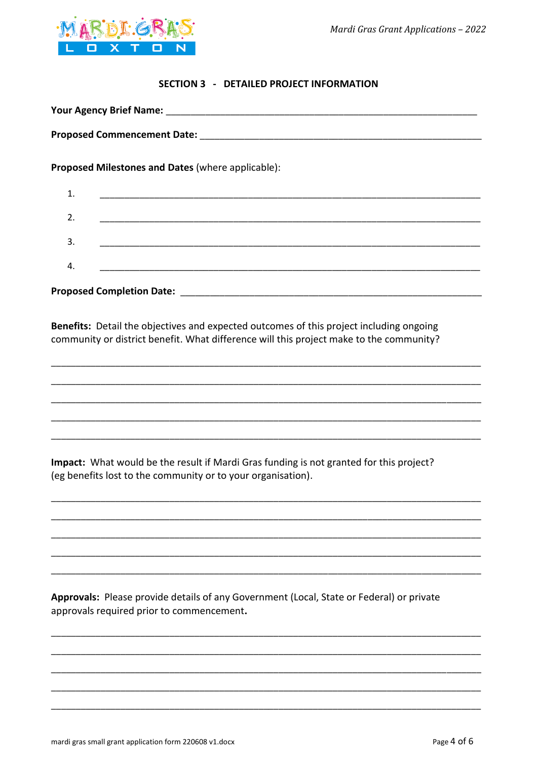

#### **SECTION 3 - DETAILED PROJECT INFORMATION**

| Proposed Milestones and Dates (where applicable): |                                                             |  |  |
|---------------------------------------------------|-------------------------------------------------------------|--|--|
| 1.                                                | <u> 1989 - Johann Stoff, amerikansk politiker (d. 1989)</u> |  |  |
| 2.                                                |                                                             |  |  |
|                                                   |                                                             |  |  |
| 3.                                                |                                                             |  |  |
| 4.                                                |                                                             |  |  |
|                                                   |                                                             |  |  |

Benefits: Detail the objectives and expected outcomes of this project including ongoing community or district benefit. What difference will this project make to the community?

Impact: What would be the result if Mardi Gras funding is not granted for this project? (eg benefits lost to the community or to your organisation).

Approvals: Please provide details of any Government (Local, State or Federal) or private approvals required prior to commencement.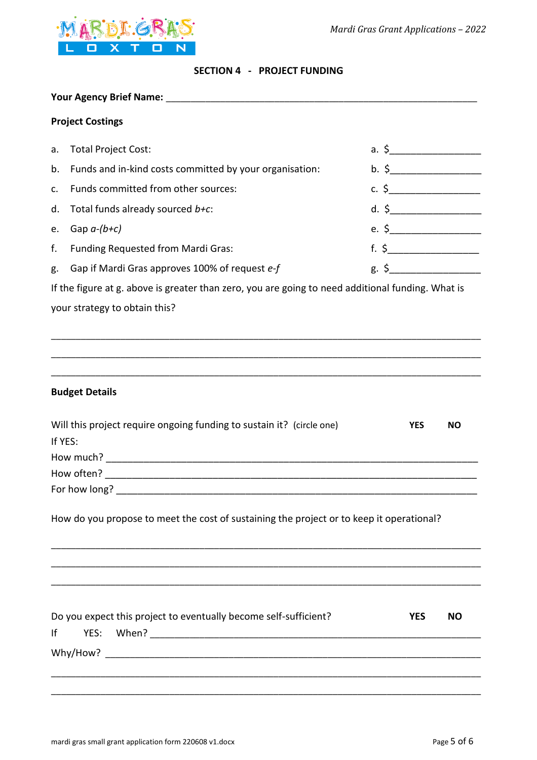

#### **SECTION 4 - PROJECT FUNDING**

|         | <b>Project Costings</b>                                                                                                                                                                                                       |  |            |                  |
|---------|-------------------------------------------------------------------------------------------------------------------------------------------------------------------------------------------------------------------------------|--|------------|------------------|
| a.      | <b>Total Project Cost:</b>                                                                                                                                                                                                    |  |            |                  |
| b.      | Funds and in-kind costs committed by your organisation:                                                                                                                                                                       |  |            | $b. \S$          |
| c.      | Funds committed from other sources:                                                                                                                                                                                           |  |            |                  |
| d.      | Total funds already sourced b+c:                                                                                                                                                                                              |  |            | $d. \S$          |
| e.      | Gap $a-(b+c)$                                                                                                                                                                                                                 |  |            | e. $\frac{1}{2}$ |
| f.      | Funding Requested from Mardi Gras:                                                                                                                                                                                            |  |            |                  |
| g.      | Gap if Mardi Gras approves 100% of request e-f                                                                                                                                                                                |  |            | $g.$ \$          |
|         | If the figure at g. above is greater than zero, you are going to need additional funding. What is                                                                                                                             |  |            |                  |
|         | your strategy to obtain this?                                                                                                                                                                                                 |  |            |                  |
|         |                                                                                                                                                                                                                               |  |            |                  |
|         |                                                                                                                                                                                                                               |  |            |                  |
|         |                                                                                                                                                                                                                               |  |            |                  |
|         | <b>Budget Details</b>                                                                                                                                                                                                         |  |            |                  |
|         | Will this project require ongoing funding to sustain it? (circle one)                                                                                                                                                         |  | <b>YES</b> | NO.              |
| If YES: |                                                                                                                                                                                                                               |  |            |                  |
|         |                                                                                                                                                                                                                               |  |            |                  |
|         |                                                                                                                                                                                                                               |  |            |                  |
|         | For how long? The contract of the contract of the contract of the contract of the contract of the contract of the contract of the contract of the contract of the contract of the contract of the contract of the contract of |  |            |                  |
|         | How do you propose to meet the cost of sustaining the project or to keep it operational?                                                                                                                                      |  |            |                  |
|         |                                                                                                                                                                                                                               |  |            |                  |
|         | <u> 1989 - Johann Stoff, amerikansk politiker (d. 1989)</u>                                                                                                                                                                   |  |            |                  |
|         |                                                                                                                                                                                                                               |  |            |                  |
|         |                                                                                                                                                                                                                               |  |            |                  |
|         | Do you expect this project to eventually become self-sufficient?                                                                                                                                                              |  | <b>YES</b> | <b>NO</b>        |
| Ιf      |                                                                                                                                                                                                                               |  |            |                  |
|         |                                                                                                                                                                                                                               |  |            |                  |
|         |                                                                                                                                                                                                                               |  |            |                  |